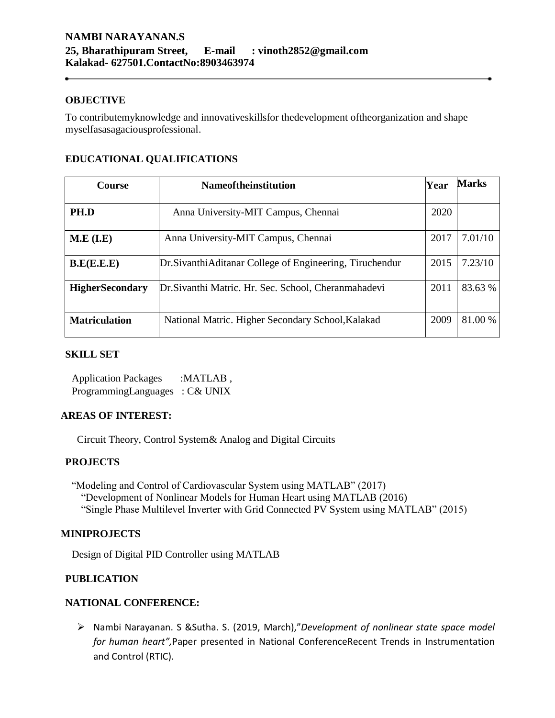#### **OBJECTIVE**

To contributemyknowledge and innovativeskillsfor thedevelopment oftheorganization and shape myselfasasagaciousprofessional.

|  | <b>EDUCATIONAL QUALIFICATIONS</b> |
|--|-----------------------------------|
|--|-----------------------------------|

| <b>Course</b>          | <b>Nameoftheinstitution</b>                               | Year | <b>Marks</b> |
|------------------------|-----------------------------------------------------------|------|--------------|
|                        |                                                           |      |              |
| PH.D                   | Anna University-MIT Campus, Chennai                       | 2020 |              |
|                        |                                                           |      |              |
| M.E (I.E)              | Anna University-MIT Campus, Chennai                       | 2017 | 7.01/10      |
|                        |                                                           |      |              |
| B.E(E.E.E))            | Dr. Sivanthi Aditanar College of Engineering, Tiruchendur | 2015 | 7.23/10      |
|                        |                                                           |      |              |
| <b>HigherSecondary</b> | Dr. Sivanthi Matric. Hr. Sec. School, Cheranmahadevi      | 2011 | 83.63 %      |
|                        |                                                           |      |              |
| <b>Matriculation</b>   | National Matric. Higher Secondary School, Kalakad         | 2009 | 81.00 %      |
|                        |                                                           |      |              |

#### **SKILL SET**

Application Packages :MATLAB, ProgrammingLanguages : C& UNIX

### **AREAS OF INTEREST:**

Circuit Theory, Control System& Analog and Digital Circuits

### **PROJECTS**

"Modeling and Control of Cardiovascular System using MATLAB" (2017) "Development of Nonlinear Models for Human Heart using MATLAB (2016) "Single Phase Multilevel Inverter with Grid Connected PV System using MATLAB" (2015)

# **MINIPROJECTS**

Design of Digital PID Controller using MATLAB

# **PUBLICATION**

### **NATIONAL CONFERENCE:**

 Nambi Narayanan. S &Sutha. S. (2019, March),"*Development of nonlinear state space model for human heart",*Paper presented in National ConferenceRecent Trends in Instrumentation and Control (RTIC).